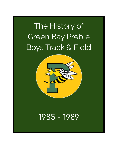# The History of Green Bay Preble Boys Track & Field



## 1985 - 1989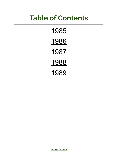## <span id="page-1-0"></span>**Table of Contents**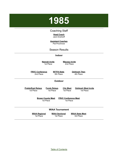## <span id="page-2-0"></span>**1985**

#### Coaching Staff

#### **Head Coach** Jack Drankoff

#### **Assistant Coaches** Pat Prochnow

#### Season Results

#### **Indoor**

**Neenah Invite** 1st Place

**Wausau Invite** 2nd Place

**FRVC Conference** 2nd Place

**W/TFA State** 5th Place

**Oshkosh Titan** 4th Place

#### **Outdoor**

**Preble/East Relays** 1st Place

#### **Fondy Relays** 1st Place

**City Meet** 1st Place

**Oshkosh West Invite** 1st Place

**Brown County Meet** 1st Place

**FRVC Conference Meet** 1st Place

#### **WIAA Tournament**

**WIAA Regional** 1st Place

**WIAA Sectional** 1st Place

**WIAA State Meet** 3rd Place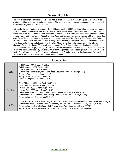#### Season Highlights

The 1985 Preble Men's Track and Field Team had its greatest season ever finishing 3rd at the WIAA State Meet and setting 18 individual and relay records. The team won every regular season outdoor meet as well as the WIAA Regional and Sectional titles.

Individually the team had many leaders. Dean Ohlhues was the 800 Meter State Champion and set records in the 800 Meters, 400 Meters, and was a member of the school record 1600 Relay Team. Jim Van Ess placed 2nd in the 3200 Meter Run and 3rd in the 1600 Meter Run at State as well as setting records in both events. Randy LaCombe placed 4th in the Triple Jump at State and was also a member of the 8th place 400 Meter Relay Team. His teammates in that school record relay were Todd Peters, Rick Freitag, and Randy LaCombe. The team of Todd Peters, Rick Freitag, Chuck Steinke, and Dean Ohlhues set the school record in the 1600 Meter Relay and placed 6th at the State Meet. Other top performers included Tom Finlin (distance), Darren Harrington (Pole Vault school record), Todd Peters (sprints with 6 school records in individual events and relays), Randy LaCombe (Jumps with school records in 5 school records in individual events and relays), Richard Ray (weights), Dave Hoffman (jumps), Mark Matzke (weights), Phil Ducat (Pole Vault), Paul Wilquet (discus), Bart Umentum (distance), Joe Framke (weights), Joe Backmann (weights), Dan Greene (relays), and Mike Pum (sprints, jumps, and relays).

| Indoor  | Todd Peters - 60 Yd. Dash (6.5) (tie)<br>Todd Peters - 220 Yd. Dash (23.7)<br>Jim Van Ess - 3200 Meter Run (9:42.1)<br>Todd Peters, Rick Freitag, Mike Pum, Todd Dequaine - 880 Yd. Relay (1:35.2)<br>Randy LaCombe - Long Jump (22' 4")<br>Randy LaCombe - Triple Jump $(44' 7 \frac{1}{2})$<br>Darren Harrington - Pole Vault (13' 9")                                                        |
|---------|-------------------------------------------------------------------------------------------------------------------------------------------------------------------------------------------------------------------------------------------------------------------------------------------------------------------------------------------------------------------------------------------------|
| Outdoor | Dean Ohlhues - 400 Meter Dash (50.2) (tie)<br>Dean Ohlhues - 800 Meter Run (1:53.03)<br>Jim Van Ess - 1600 Meter Run (4:19.46)<br>Jim Van Ess - 3200 Meter Run (9:15.12)<br>Todd Peters, Mike Pum, Rick Freitag, Chuck Steinke - 400 Meter Relay (43.93)<br>Todd Peters, Chuck Steinke, Rick Freitag, Dean Ohlhues - 1600 Relay (3:23.65)<br>Randy LaCombe - Triple Jump $(45' 5' \frac{1}{4})$ |
| Relays  | Chuck Steinke, Rick Warpinski, Greg Borucki - 900 Meter Intermediate Hurdles (1:34.4) (New hurdle height)<br>Todd Peters, Todd Duquaine, Brian Dombroski, Jim Van Ess - 1600 Meter Medley Relay (3:39.1)<br>Randy LaCombe, Dave Hoffman, Rick Freitag, Mike Pum - Long Jump Relay (77' 1/2")<br>Randy LaCombe, Dave Hoffman, Mike Schauer, Scott Piontek - Triple Jump Relay (158' 8 1/2")      |

#### Records Set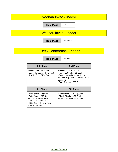#### Neenah Invite - Indoor

**Team Place** | 1st Place

### Wausau Invite - Indoor

**Team Place** 2nd Place

## FRVC Conference - Indoor

**Team Place** 2nd Place

| <b>1st Place</b>                                                                      | 2nd Place                                                                                                                                                        |
|---------------------------------------------------------------------------------------|------------------------------------------------------------------------------------------------------------------------------------------------------------------|
| >Jim Van Ess - 1600 Run<br>>Darrin Harrington - Pole Vault<br>>Jim Van Ess - 3200 Run | >Richard Ray - Shot Put<br>>Randy LaCombe - 55 Dash<br>>Randy LaCombe - Long Jump<br>>4 Lap Relay - Peters, Freitag, Pum,<br>Dequaine<br>>Dean Ohlhues - 800 Run |

| 3rd Place                                                                                                                                                      | <b>5th Place</b>                                                                     |
|----------------------------------------------------------------------------------------------------------------------------------------------------------------|--------------------------------------------------------------------------------------|
| l >Joe Framke - Shot Put<br>7Todd Peters - 200 Dash<br>>Phil Ducat - Pole Vault<br>l >Tom Finlin - 3200 Run<br>  >1600 Relay - Peters, Pum,<br>Greene, Ohlhues | >David Hoffman - Long Jump<br>>Chuck Steinke - 400 Dash<br>>Randy LaCombe - 200 Dash |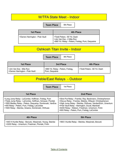#### W/TFA State Meet - Indoor

| <b>Team Place</b> |
|-------------------|
|-------------------|

**5th Place** 

| 1st Place                       | <b>4th Place</b>                                                                                           |
|---------------------------------|------------------------------------------------------------------------------------------------------------|
| >Darren Harrington - Pole Vault | >Todd Peters - 60 Yd. Dash<br>>Jim Van Ess - 2 Mile Run<br>>880 Yd. Relay - Peters, Freitag, Pum, Dequaine |

#### Oshkosh Titan Invite - Indoor

**Team Place** 4th Place

| 1st Place                                                        | 3rd Place                                          | <b>4th Place</b>           |
|------------------------------------------------------------------|----------------------------------------------------|----------------------------|
| >Jim Van Ess - Mile Run<br><b>Darren Harrington - Pole Vault</b> | >880 Yd. Relay - Peters, Freitag,<br>Pum, Dequaine | >Todd Peters - 60 Yd. Dash |

## Preble/East Relays - Outdoor

**Team Place** | 1st Place

| <b>1st Place</b>                                                                                                                                                                                                                                                            | 2nd Place                                                                                                                                                                                                                                                                                                                           |
|-----------------------------------------------------------------------------------------------------------------------------------------------------------------------------------------------------------------------------------------------------------------------------|-------------------------------------------------------------------------------------------------------------------------------------------------------------------------------------------------------------------------------------------------------------------------------------------------------------------------------------|
| >Long Jump Relay - LaCombe, Hoffman, Freitag, Pum<br>>Triple Jump Relay - LaCombe, Hoffman, Schauer, Piontek<br>>1600 Medley Relay - Peters, Dequaine, Dombroski, VanEss<br>>400 Relay - Peters, Pum, Freitag, LaCombe<br>>1600 Relay - Steinke, Greene, Dombroski, Ohlhues | >Shot Put Relay - Framke, Ray, Backmann, Christopherson<br>>Discus Relay - Framke, Matzke, Wilquet, Christopherson<br>>High Jump Relay - Steinke, Ohlhues, VandenElzin, Umentum<br>>Pole Vault Relay - Harrington, Ducat, Marshall<br>>6400 Relay - Watson, Friedman, Umentum, Finlin<br>>800 Relay - Peters, Pum, Freitag, LaCombe |

| <b>4th Place</b>                                                                                             | <b>5th Place</b>                                  |
|--------------------------------------------------------------------------------------------------------------|---------------------------------------------------|
| 2440 H Hurdle Relay - Borucki, Warpinski, Young, Steinke<br>S3200 Relay - Umentum, Friedman, Piontek, Finlin | >900 I Hurdle Relay - Steinke, Warpinski, Borucki |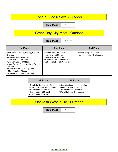### Fond du Lac Relays - Outdoor

**Team Place** | 1st Place

### Green Bay City Meet - Outdoor

**Team Place** | 1st Place

| <b>1st Place</b>                                                                                                                                                                                                                                                                     | 2nd Place                                                                                                                                          | 3rd Place                                               |
|--------------------------------------------------------------------------------------------------------------------------------------------------------------------------------------------------------------------------------------------------------------------------------------|----------------------------------------------------------------------------------------------------------------------------------------------------|---------------------------------------------------------|
| >400 Relay - Peters, Freitag, Greene,<br><b>Ohlhues</b><br>>Dean Ohlhues - 800 Run<br>>Todd Peters - 200 Dash<br>>Jim Van Ess - 3200 Run<br>>1600 Relay - Peters, Steinke, Greene,<br>Ohlhues<br>>Randy LaCombe - Long Jump<br>>Mark Matzke - Discus<br>>Randy LaCombe - Triple Jump | >Jim Van Ess - 1600 Run<br>>Tom Finlin - 3200 Run<br>>Joe Framke - Shot Put<br>>Phil Ducat - Pole Vault (tie)<br>>Matt Marshall - Pole Vault (tie) | >Rick Freitag - 100 Dash<br>>Dave Hoffman - Triple Jump |

| 4th Place                                                                                                                                  | <b>5th Place</b>                                                                                                      |
|--------------------------------------------------------------------------------------------------------------------------------------------|-----------------------------------------------------------------------------------------------------------------------|
| >Randy LaCombe - 100 Dash<br>>Chuck Steinke - 300 I Hurdles<br>>Bart Umentum - 800 Run<br>>Rick Freitag - 200 Dash<br>>Joe Framke - Discus | >Chuck Steinke - 110 H Hurdles<br>>David Friedman - 1600 Run<br>>Joe Backmann - Shot Put<br>>Dave Hoffman - Long Jump |

#### Oshkosh West Invite - Outdoor

**Team Place** | 1st Place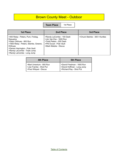## Brown County Meet - Outdoor

**Team Place** | 1st Place

| <b>1st Place</b>                                                                                                                                                                                                                       | 2nd Place                                                                                                                            | 3rd Place                      |
|----------------------------------------------------------------------------------------------------------------------------------------------------------------------------------------------------------------------------------------|--------------------------------------------------------------------------------------------------------------------------------------|--------------------------------|
| >400 Relay - Peters, Pum, Freitag,<br>Dequaine<br>>Dean Ohlhues - 800 Run<br>>1600 Relay - Peters, Steinke, Greene,<br><b>Ohlhues</b><br>>Darren Harrington - Pole Vault<br>>Randy LaCombe - Triple Jump<br>>Randy LaCombe - Long Jump | >Randy LaCombe - 100 Dash<br>>Jim Van Ess - 1600 Run<br>>Todd Peters - 200 Dash<br>>Phil Ducat - Pole Vault<br>>Mark Matzke - Discus | >Chuck Steinke - 300 I Hurdles |

| 4th Place               | <b>5th Place</b>           |
|-------------------------|----------------------------|
| >Bart Umentum - 800 Run | >David Friedman - 1600 Run |
| >Joe Framke - Shot Put  | >David Hoffman - Long Jump |
| >Paul Wilquet - Discus  | >Richard Ray - Shot Put    |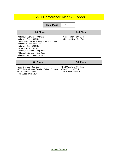### FRVC Conference Meet - Outdoor

**Team Place** | 1st Place

| <b>1st Place</b>                                                                                                                                                                                                                                                                    | 3rd Place                                          |
|-------------------------------------------------------------------------------------------------------------------------------------------------------------------------------------------------------------------------------------------------------------------------------------|----------------------------------------------------|
| >Randy LaCombe - 100 Dash<br>>Jim Van Ess - 1600 Run<br>>400 Relay - Peters, Freitag, Pum, LaCombe<br>>Dean Ohlhues - 800 Run<br>>Jim Van Ess - 3200 Run<br>>Paul Wilquet - Discus<br>>Randy LaCombe - Long Jump<br>>Randy LaCombe - Triple Jump<br>>Darren Harrington - Pole Vault | >Todd Peters - 200 Dash<br>>Richard Ray - Shot Put |

| 4th Place                                                                                                                        | <b>5th Place</b>                                                            |
|----------------------------------------------------------------------------------------------------------------------------------|-----------------------------------------------------------------------------|
| >Dean Ohlhues - 400 Dash<br>>1600 Relay - Peters, Steinke, Freitag, Ohlhues<br>>Mark Matzke - Discus<br>>Phil Ducat - Pole Vault | >Bart Umentum - 800 Run<br>>Tom Finlin - 3200 Run<br>>Joe Framke - Shot Put |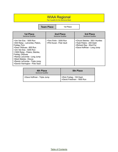#### WIAA Regional

Top 4 qualify for the Sectional Meet

|                                                                                                                                                                                                                                                                                                                | <b>Team Place</b>                                  | 1st Place |                                                                                                                   |
|----------------------------------------------------------------------------------------------------------------------------------------------------------------------------------------------------------------------------------------------------------------------------------------------------------------|----------------------------------------------------|-----------|-------------------------------------------------------------------------------------------------------------------|
| <b>1st Place</b><br><b>Sectional Qualifier</b>                                                                                                                                                                                                                                                                 | 2nd Place<br><b>Sectional Qualifier</b>            |           | 3rd Place<br><b>Sectional Qualifier</b>                                                                           |
| >Jim Van Ess - 1600 Run<br>>400 Relay - LaCombe, Peters,<br>Freitag, Pum<br>>Dean Ohlhues - 800 Run<br>>Jim Van Ess - 3200 Run<br>>1600 Relay - Peters, Steinke,<br>Freitag, Ohlhues<br>>Randy LaCombe - Long Jump<br>>Mark Matzke - Discus<br>>Randy LaCombe - Triple Jump<br>>Darren Harrington - Pole Vault | >Tom Finlin - 3200 Run<br>>Phil Ducat - Pole Vault |           | >Chuck Steinke - 300   Hurdles<br>>Todd Peters - 200 Dash<br>>Richard Ray - Shot Put<br>>Dave Hoffman - Long Jump |

| <b>4th Place</b><br><b>Sectional Qualifier</b> | <b>5th Place</b>                                       |
|------------------------------------------------|--------------------------------------------------------|
| >Dave Hoffman - Triple Jump                    | >Rick Freitag - 100 Dash<br>>David Friedman - 1600 Run |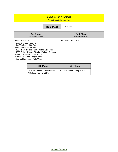#### WIAA Sectional Top 2 advance to the State Meet **Team Place** | 1st Place **1st Place** State Meet Qualifier **2nd Place** State Meet Qualifier >Todd Peters - 200 Dash >Dean Ohlhues - 800 Run >Jim Van Ess - 1600 Run >Jim Van Ess - 3200 Run >400 Relay - Peters, Pum, Freitag, LaCombe >1600 Relay - Peters, Steinke, Freitag, Ohlhues >Randy LaCombe - Long Jump >Randy LaCombe - Triple Jump >Darren Harrington - Pole Vault >Tom Finlin - 3200 Run

| 4th Place                                                 | <b>5th Place</b>          |
|-----------------------------------------------------------|---------------------------|
| Schuck Steinke - 300 I Hurdles<br>>Richard Ray - Shot Put | >Dave Hoffman - Long Jump |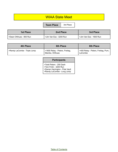#### WIAA State Meet

**Team Place** | 3rd Place

| <b>1st Place</b>        | 2nd Place               | 3rd Place               |
|-------------------------|-------------------------|-------------------------|
| >Dean Ohlhues - 800 Run | >Jim Van Ess - 3200 Run | >Jim Van Ess - 1600 Run |

| <b>4th Place</b>             | <b>6th Place</b>                                     | 8th Place                                     |
|------------------------------|------------------------------------------------------|-----------------------------------------------|
| >Randy LaCombe - Triple Jump | ' >1600 Relay - Peters, Freitag,<br>Steinke, Ohlhues | >400 Relay - Peters, Freitag, Pum,<br>LaCombe |

#### **Participants**

>Todd Peters - 200 Dash >Tom Finlin - 3200 Run >Darren Harrington - Pole Vault >Randy LaCombe - Long Jump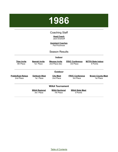# <span id="page-12-0"></span>**1986**

#### Coaching Staff

**Head Coach** Jack Drankoff

#### **Assistant Coaches**

Pat Prochnow

#### Season Results

|                                        |                                   | Indoor                                  |                                     |                                       |
|----------------------------------------|-----------------------------------|-----------------------------------------|-------------------------------------|---------------------------------------|
| <b>Titan Invite</b><br>4th Place       | Neenah Invite<br>1st Place        | <b>Wausau Invite</b><br>2nd Place (tie) | <b>FRVC Conference</b><br>3rd Place | <b>W/TFA State Indoor</b><br>6 Points |
|                                        |                                   | <b>Outdoor</b>                          |                                     |                                       |
| <b>Preble/East Relays</b><br>2nd Place | <b>Oshkosh West</b><br>1st Place  | <b>City Meet</b><br>2nd Place           | <b>FRVC Conference</b><br>3rd Place | <b>Brown County Meet</b><br>1st Place |
|                                        |                                   | <b>WIAA Tournament</b>                  |                                     |                                       |
|                                        | <b>WIAA Regional</b><br>3rd Place | <b>WIAA Sectional</b><br>7th Place      | <b>WIAA State Meet</b><br>0 Points  |                                       |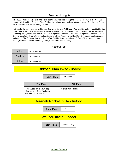#### Season Highlights

The 1986 Preble Men's Track and Field Team had 3 victories during the season. They were the Neenah Indoor Invitational the Oshkosh West Outdoor Invitational, and the Brown County Meet. The finished 2nd or 3rd in 6 other major meets during the year.

Individually the team was led by Richard Ray (weights) and Phil Ducat (Pole Vault) who both qualified for the WIAA State Meet. Other top performers were Matt Marshall (Pole Vault), Bart Umentum (distance & relays), Todd Duquaine (sprints and relays), Mike Pum (sprints and relays), Paul Bredael (sprints and relays), Chuck Steinke (sprints and relays)k Ted Velicer (weights), Paul Wilquet (weights), Bart Umentum (middle distance and relays), Tim Schauer (hurdles), Kip LaTour (middle distance and relays), Paul Gilbert (relays), dean Samz (distance), Jamie Kuemmel (jumps), and Tom Finlin (distance)

#### Records Set

| Indoor        | No records set |
|---------------|----------------|
| Outdoor       | No records set |
| <b>Relays</b> | No records set |

#### Oshkosh Titan Invite - Indoor

**Team Place** | 4th Place

| 2nd Place                                                                                   | <b>5th Place</b>     |
|---------------------------------------------------------------------------------------------|----------------------|
| >Phil Ducat - Pole Vault (tie)<br>>Dan Mahlik - Pole Vault (tie)<br>>Richard Ray - Shot Put | >Tom Finlin - 2 Mile |

#### Neenah Rocket Invite - Indoor

**Team Place** | 1st Place

#### Wausau Invite - Indoor

**Team Place** | 2nd Place (tie)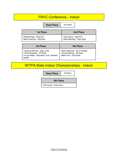#### FRVC Conference - Indoor

**Team Place** 3rd Place

| 1st Place                                          | 2nd Place                                              |
|----------------------------------------------------|--------------------------------------------------------|
| >Richard Ray - Shot Put<br>>Bart Umentum - 800 Run | >Ted Velicer - Shot Put<br>>Matt Marshall - Pole Vault |

| 3rd Place                                                                                                   | <b>5th Place</b>                                                                   |
|-------------------------------------------------------------------------------------------------------------|------------------------------------------------------------------------------------|
| >Jamie Kuemmel - High Jump<br>STodd Dequaine - 55 Dash<br>>4 Lap Relay - Dequaine, Pum, Bredael,<br>Gilbert | >Rick Warpinski - 55 H Hurdles<br>>Chuck Steinke - 55 Dash<br>>Mike Pum - 200 Dash |

## W/TFA State Indoor Championships - Indoor

**Team Place** 6 Points

**5th Place**

>Phil Ducat - Pole Vault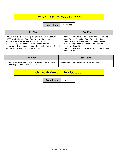## Preble/East Relays - Outdoor

**Team Place** 2nd Place

| 1st Place                                                                                                                                                                                                                                                                                                                            | 3rd Place                                                                                                                                                                                                                                                                                     |
|--------------------------------------------------------------------------------------------------------------------------------------------------------------------------------------------------------------------------------------------------------------------------------------------------------------------------------------|-----------------------------------------------------------------------------------------------------------------------------------------------------------------------------------------------------------------------------------------------------------------------------------------------|
| >440 H Hurdle Relay - Young, Warpinski, Borucki, Schauer<br>>1600 Medley Relay - Pum, Dequaine, Steinke, Umentum<br>>Shot Put Relay - Ray, Velicer, Tatum, Wilquet<br>>Discus Relay - Warpinski, Culver, Velicer, Wilquet<br>>High Jump Relay - VandenElzen, Kuemmel, Umentum, Steffek<br>>Pole Vault Relay - Olsen, Marshall, Ducat | >900 I Hurdles Relay - T.Schauer, Borucki, Warpinski<br>>400 Relay - Dequaine, Pum, Bredael, Hoffman<br>>800 Relay - Dequaine, Pum, Hafmann, Steinke<br>>Triple Jump Relay - D. Schauer, M. Schauer,<br>Kuemmel, Borucki<br>>Long Jump Relay - D. Schauer, M. Schauer, Roeser,<br>VandenElzen |

| 4th Place                                                                                                     | <b>5th Place</b>                             |
|---------------------------------------------------------------------------------------------------------------|----------------------------------------------|
| SDistance Medley Relay - Umentum, Gilbert, Samz, Finlin<br>  >1600 Relay - Gilbert, LaTour, T. Schauer, Ducat | >6400 Relay - Lax, Ludwikoski, Rukamp, Graan |

## Oshkosh West Invite - Outdoor

**Team Place** | 1st Place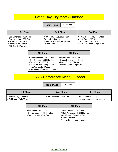### Green Bay City Meet - Outdoor

**Team Place** 2nd Place

| <b>1st Place</b>                                                                                                                       | 2nd Place                                                                                         | 3rd Place                                                                                                    |
|----------------------------------------------------------------------------------------------------------------------------------------|---------------------------------------------------------------------------------------------------|--------------------------------------------------------------------------------------------------------------|
| >Bart Umentum - 1600 Run<br>>Bart Umentum - 800 Run<br>>Richard Ray - Shot Put<br>>Paul Wilquet - Discus<br>  >Phil Ducat - Pole Vault | >400 Relay - Duquaine, Pum,<br>Bredael, Hafmann<br>>1600 Relay - Steinke, Gilbert,<br>LaTour, Pum | >Tim Schauer - 110 H Hurdles<br>>Mike Pum - 200 Dash<br>>Tom Finlin - 3200 Run<br>>Jamie Kuemmel - High Jump |

| <b>4th Place</b>                                                                                                                                                                    | <b>5th Place</b>                                                                                            |
|-------------------------------------------------------------------------------------------------------------------------------------------------------------------------------------|-------------------------------------------------------------------------------------------------------------|
| >Rick Warpinski - 110 H Hurdles<br>>Tim Schauer - 300 I Hurdles<br>>Dean Samz - 3200 Run<br>>Chuck Steinke - Long Jump<br>>Rick Warpinski - Discus<br>>Kurt VandenElzen - High Jump | >Dean Samz - 1600 Run<br>>Chuck Steinke - 400 Dash<br>>David Culver - Discus<br>>Dave Schauer - Triple Jump |

## FRVC Conference Meet - Outdoor

**Team Place** | 3rd Place

| <b>1st Place</b>                                      | 2nd Place                | 3rd Place                                           |
|-------------------------------------------------------|--------------------------|-----------------------------------------------------|
| >Richard Ray - Shot Put<br>  >Phil Ducat - Pole Vault | >Bart Umentum - 1600 Run | >Paul Wilquet - Discus<br>Jamie Kuemmel - Long Jump |

| 4th Place                                                                          | <b>5th Place</b>                                                                                                                                  |
|------------------------------------------------------------------------------------|---------------------------------------------------------------------------------------------------------------------------------------------------|
| >Ted Velicer - Shot Put<br>>Tim Schauer - 110 H Hurdles<br>>Bart Umentum - 800 Run | >Matt Marshall - Pole Vault<br>>Rick Warpinski - 110 H Hurdles<br>>400 Relay - Dequaine, Pum,<br>Bradael, Steinke<br>>Tim Schauer - 300 I Hurdles |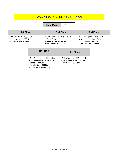## Brown County Meet - Outdoor

**Team Place** | 1st Place

| 1st Place                                                                       | 2nd Place                                                                                                | 3rd Place                                                                                                  |
|---------------------------------------------------------------------------------|----------------------------------------------------------------------------------------------------------|------------------------------------------------------------------------------------------------------------|
| >Bart Umentum - 1600 Run<br>>Bart Umentum - 800 Run<br>>Phil Ducat - Pole Vault | >1600 Relay - Steinke, Gilbert,<br>LaTour, Pum<br>>Matt Marshall - Pole Vault<br>>Ted Velicer - Shot Put | >Todd Dequaine - 100 Dash<br>>Dean Samz - 3200 Run<br>>Jamie Kuemmel - High Jump<br>>Paul Wilguet - Discus |

| 4th Place                                                                                                                            | <b>5th Place</b>                                                                        |
|--------------------------------------------------------------------------------------------------------------------------------------|-----------------------------------------------------------------------------------------|
| >Tim Schauer - 110 H Hurdles<br>>400 Relay - Dequaine, Pum,<br>Bredael, Schauer<br>>Tom Finlin - 3200 Run<br>>Richard Ray - Shot Put | >Rick Warpinski - 110 H Hurdles<br>>Tim Schauer - 300 I Hurdles<br>>Mike Pum - 200 Dash |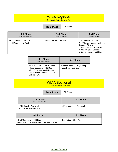## WIAA Regional

Top 4 qualify for the Sectional Meet

**Team Place** 3rd Place

| <b>1st Place</b>                                     | 2nd Place               | 3rd Place                                                                                                                                                      |
|------------------------------------------------------|-------------------------|----------------------------------------------------------------------------------------------------------------------------------------------------------------|
| Sectional Qualifier                                  | Sectional Qualifier     | <b>Sectional Qualifier</b>                                                                                                                                     |
| >Bart Umentum - 1600 Run<br>>Phil Ducat - Pole Vault | >Richard Ray - Shot Put | >Ted Velicer - Shot Put<br>>400 Relay - Dequaine, Pum,<br>Bredael, Steinke<br>>Matt Marshall - Pole Vault<br>>Paul Wilguet - Discus<br>>Bart Umentum - 800 Run |

| 4th Place<br><b>Sectional Qualifier</b>                                                                                                     | <b>5th Place</b>                                   |
|---------------------------------------------------------------------------------------------------------------------------------------------|----------------------------------------------------|
| >Tim Schauer - 110 H Hurdles<br>>Todd Dequaine - 100 Dash<br>>Tim Schauer - 300 I Hurdles<br>>1600 Relay - Steinke, LaTour,<br>Gilbert, Pum | >Jamie Kuemmel - High Jump<br>>Mike Pum - 200 Dash |

## WIAA Sectional

Top 2 advance to the State Meet

| <b>Team Place</b>                                   | 7th Place                   |
|-----------------------------------------------------|-----------------------------|
| 2nd Place<br><b>State Meet Qualifier</b>            | 3rd Place                   |
| >Phil Ducat - Pole Vault<br>>Richard Ray - Shot Put | >Matt Marshall - Pole Vault |
| <b>4th Place</b>                                    | <b>5th Place</b>            |
| >Bart Umentum - 1600 Run                            | >Ted Velicer - Shot Put     |

>400 Relay - Dequaine, Pum, Bredael, Steinke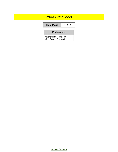### WIAA State Meet

**Team Place** 0 Points

#### **Participants**

>Richard Ray - Shot Put >Phil Ducat - Pole Vault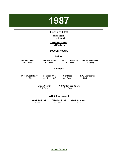# <span id="page-20-0"></span>**1987**

#### Coaching Staff

**Head Coach** Jack Drankoff

**Assistant Coaches** Pat Prochnow

Season Results

#### **Indoor**

| <b>Neenah Invite</b>                                                           | <b>Wausau Invite</b>  | <b>FRVC Conference</b> | <b>W/TFA State Meet</b> |  |
|--------------------------------------------------------------------------------|-----------------------|------------------------|-------------------------|--|
| 2nd Place                                                                      | 3rd Place             | 3rd Place              | 4 Points                |  |
|                                                                                | <b>Outdoor</b>        |                        |                         |  |
| <b>Preble/East Relays</b>                                                      | <b>Oshkosh West</b>   | <b>City Meet</b>       | <b>FRVC Conference</b>  |  |
| 1st Place                                                                      | 4th Place (tie)       | 3rd Place              | 7th Place               |  |
| <b>Brown County</b><br><b>FRVC Conference Relays</b><br>3rd Place<br>2nd Place |                       |                        |                         |  |
| <b>WIAA Tournament</b>                                                         |                       |                        |                         |  |
| <b>WIAA Regional</b>                                                           | <b>WIAA Sectional</b> | <b>WIAA State Meet</b> |                         |  |
| 4th Place                                                                      | 4th Place             | 0 Points               |                         |  |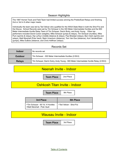#### Season Highlights

The 1987 Hornet Track and Field Team had limited success winning the Preble/East Relays and finishing 2nd or 3rd in 6 other major meets.

Individually the team was led by Ted Velicer who qualified for the WIAA State Meet in both the Shot Put and the Discus. School Records were set by Tim Schauer in the 300 Meter Intermediate Hurdles and the 900 Meter Intermediate Hurdle Relay Team of Tim Schauer, Darrin Butry, and Andy Young. Other top performers included David Culver (weights), Mike Schauer (jumps & relays), Tim Schauer (hurdles), Mike Pum (sprints & relays), Kip LaTour (middle distance & relays), Paul Bredael (relays), Ben Clark (sprints and relays), Matt Marshall (Pole Vault), Mark Umentum (distance), Tom Van Ess (distance), Kurt VandenElzen (jumps), Mike DuBois (distance, and Chris Hoffman (relays).

#### Records Set

| <b>Indoor</b>  | No records set                                                                       |  |
|----------------|--------------------------------------------------------------------------------------|--|
| <b>Outdoor</b> | Tim Schauer - 300 Meter Intermediate Hurdles (2:09.6)                                |  |
| <b>Relays</b>  | Tim Schauer, Darrin Dutry, Andy Young - 900 Meter Intermediate Hurdle Relay (2:09.6) |  |

#### Neenah Invite - Indoor

**Team Place** | 2nd Place

## Oshkosh Titan Invite - Indoor

**Team Place** | 9th Place

| 3rd Place                                                        | <b>5th Place</b>          |
|------------------------------------------------------------------|---------------------------|
| l >Tim Schauer - 60 Yd. H Hurdles<br>>Matt Marshall - Pole Vault | l >Ted Velicer - Shot Put |

#### Wausau Invite - Indoor

**Team Place** | 3rd Place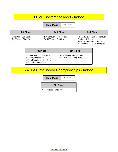#### FRVC Conference Meet - Indoor

**Team Place** 3rd Place

| 1st Place                                       | 2nd Place                                                | 3rd Place                                                                                                                 |
|-------------------------------------------------|----------------------------------------------------------|---------------------------------------------------------------------------------------------------------------------------|
| >Mike Pum - 200 Dash<br>>Ted Velicer - Shot Put | >Tim Schauer - 55 H Hurdles<br>>David Velicer - Shot Put | >4 Lap Relay - Pum, M. Schauer,<br>Bredael, Hofmann<br>>Kurt VandenElzen - High Jump<br>>Matt Marshall - Pole Vault (tie) |

| 4th Place                                                                                                  | <b>5th Place</b>                                        |
|------------------------------------------------------------------------------------------------------------|---------------------------------------------------------|
| >3200 Relay - Ludwikoski, Lax,<br>Van Ess, Radosevich<br>>Mark Umentum - 1600 Run<br>>Kip LaTour - 800 Run | >Andy Young - 55 H Hurdles<br>>Mike Schauer - Long Jump |

## W/TFA State Indoor Championships - Indoor

**Team Place** 4 Points

**5th Place**

>Ted Velicer - Shot Put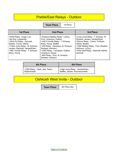### Preble/East Relays - Outdoor

**Team Place** 1st Place

| <b>1st Place</b>                                                                                                                                                                                                                    | 2nd Place                                                                                                                                                                                                                                                                                    | 3rd Place                                                                                                                                                                                                                             |
|-------------------------------------------------------------------------------------------------------------------------------------------------------------------------------------------------------------------------------------|----------------------------------------------------------------------------------------------------------------------------------------------------------------------------------------------------------------------------------------------------------------------------------------------|---------------------------------------------------------------------------------------------------------------------------------------------------------------------------------------------------------------------------------------|
| >6400 Relay - Kugel, Lax,<br>Van Ess, Ludwikoski<br>>Shot Put Relay - Gerczak,<br>Basten, Culver, Velicer<br>>Triple Jump Relay - M. Schauer,<br>Jensen, Marshall, VandenElzen<br>>900 I Hurdle Relay - T. Schauer,<br>Butry, Young | >Distance Medley Relay - LaTour,<br>Pum, Umentum, DuBois<br>>440 H Hurdle Relay - T. Schauer,<br>Butry, Young, Steffek<br>>400 Relay - Geniesse, M. Schauer,<br>Bredael, Hofmann<br>>3200 Relay - LaCaptain, DuBois,<br>Umentum, Keyser<br>>800 Relay - Pum, M. Schauer,<br>Bredael, Hofmann | >Long Jump Relay - T. Schauer, M.<br>Schauer, Jensen, VandenElzen<br>>Discus Relay - Culver, Truttman,<br>Velicer, Basten<br>>1600 Medley Relay - Pum, Bredael,<br>Hofmann, LaTour<br>>Pole Vault Relay - Marshall, Mahlik,<br>Hummel |

| 4th Place                                          | <b>5th Place</b>                                                  |
|----------------------------------------------------|-------------------------------------------------------------------|
| >1600 Relay - Clark, Jilot, Tebon,<br>Wojieckowski | >High Jump Relay - VandenElzen,<br>Steffek, Jensen, Rozmarynowski |

## Oshkosh West Invite - Outdoor

**Team Place** 4th Place (tie)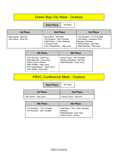### Green Bay City Meet - Outdoor

**Team Place** 3rd Place

| <b>1st Place</b>                                 | 2nd Place                                                                                                                                    | 3rd Place                                                                                                                                 |
|--------------------------------------------------|----------------------------------------------------------------------------------------------------------------------------------------------|-------------------------------------------------------------------------------------------------------------------------------------------|
| >Mat Keyser - 800 Run<br>>Ted Velicer - Shot Put | >Kip LaTour - 400 Dash<br>>Tim Schauer - 300 I Hurdles<br>>1600 Relay - LaTour, Bredael,<br>T. Schauer, Pum<br>>Kurt VandenElzen - High Jump | >Tim Schauer - 110 H Hurdles<br>>400 Relay - Geniesse, Pum,<br>Bredael, Hofmann<br>>Mike Dubois - 3200 Run<br>>Matt Marshall - Pole Vault |

| <b>4th Place</b>                                                                                                                                                            | <b>5th Place</b>                                                                          |
|-----------------------------------------------------------------------------------------------------------------------------------------------------------------------------|-------------------------------------------------------------------------------------------|
| >Tom Van Ess - 3200 Run<br>>Matt Marshall - Long Jump<br>>David Culver - Discus<br>>Mike Steffek - High Jump<br>>Kurt VandenElzen - Triple Jump<br>>Dan Mahlik - Pole Vault | >Andy Young - 110 H Hurdles<br>>Shane LaCaptain - 800 Run<br>>Matt Marshall - Triple Jump |

## FRVC Conference Meet - Outdoor

**Team Place** 7th Place

| 1st Place                   | 2nd Place                |
|-----------------------------|--------------------------|
| l >Ted Velicer - Pole Vault | >David Culver - Shot Put |

| 4th Place                                                    | <b>5th Place</b>                                                                                      |
|--------------------------------------------------------------|-------------------------------------------------------------------------------------------------------|
| >Tim Schauer - 110 H Hurdles<br>>Tim Schauer - 300 I Hurdles | >400 Relay - Pum, Clark, Bredael,<br>Hofmann<br>>Matt Marshall - Pole Vault<br>>David Culver - Discus |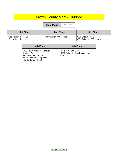## Brown County Meet - Outdoor

**Team Place** | 3rd Place

| 1st Place                                        | 2nd Place                    | 3rd Place                                              |
|--------------------------------------------------|------------------------------|--------------------------------------------------------|
| >Ted Velicer - Shot Put<br>>Ted Velicer - Discus | >Tim Schauer - 110 H Hurdles | >Kip LaTour - 400 Dash<br>>Tim Schauer - 300 I Hurdles |

| 4th Place                                                                                                                           | <b>5th Place</b>                                                     |
|-------------------------------------------------------------------------------------------------------------------------------------|----------------------------------------------------------------------|
| >400 Relay - Clark, M. Schauer,<br>Bredael, Pum<br>>Tom Van Ess - 3200 Run<br>>Mike Schauer - Long Jump<br>>David Culver - Shot Put | >Mike Pum - 200 Dash<br>>1600 Relay - LaTour, Bredael, clark,<br>Pum |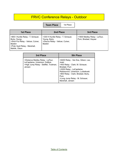## FRVC Conference Relays - Outdoor

**Team Place** | 1st Place

| <b>1st Place</b>                                                                                                                                    | 2nd Place                                                                                       | 3rd Place                                            |
|-----------------------------------------------------------------------------------------------------------------------------------------------------|-------------------------------------------------------------------------------------------------|------------------------------------------------------|
| >900 I Hurdle Relay - T. Schauer,<br>Butry, Young<br>>Shot Put Relay - Velicer, Culver,<br>Basten<br>>Pole Vault Relay - Marshall,<br>Mahlik, Olson | >330 H Hurdle Relay - T. Schauer,<br>Young, Butry<br>>Discus Relay - Velicer, Culver,<br>Basten | >1600 Medley Relay - LaTour,<br>Pum, Bredael, Keyser |

| 3rd Place                                                                                                           | <b>5th Place</b>                                                                                                                                                                                                                                                     |
|---------------------------------------------------------------------------------------------------------------------|----------------------------------------------------------------------------------------------------------------------------------------------------------------------------------------------------------------------------------------------------------------------|
| >Distance Medley Relay - LaTour,<br>LeCapitaine, Umentum, DuBois<br>>High Jump Relay - Steffek, Truttman,<br>Jensen | >6400 Relay - Van Ess, Gilson, Lax,<br>Joski<br>>400 Relay - Clark, M. Schauer,<br>Bredael, Pum<br>>3200 Relay - LaCapitaine,<br>Radosovich, Umentum, Ludwikoski<br>>800 Relay - Clark, Bredael, Butry,<br>Pum<br>>Long Jump Relay - M. Schauer,<br>Marshall, Jensen |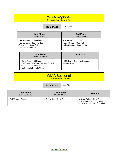## WIAA Regional

Top 4 qualify for the Sectional Meet

**Team Place** 4th Place

| 2nd Place                                                                                                        | 3rd Place                                                                     |
|------------------------------------------------------------------------------------------------------------------|-------------------------------------------------------------------------------|
| <b>Sectional Qualifier</b>                                                                                       | <b>Sectional Qualifier</b>                                                    |
| >Tim Schauer - 110 H Hurdles<br>>Tim Schauer - 300 I Hurdles<br>>Ted Velicer - Shot Put<br>>Ted Velicer - Discus | >Mike Pum - 200 Dash<br>>David Culver - Shot Put<br>>Mike Schauer - Long Jump |

| <b>4th Place</b><br><b>Sectional Qualifier</b>                                                                               | <b>5th Place</b>                                |
|------------------------------------------------------------------------------------------------------------------------------|-------------------------------------------------|
| >Kip LaTour - 400 Dash<br>>1600 Relay - LaTour, Bredael, Clark, Pum<br>>David Culver - Discus<br>>Matt Marshall - Pole Vault | >400 Relay - Clark, M. Schauer,<br>Bredael, Pum |

| <b>WIAA Sectional</b><br>Top 2 advance to the State Meet |  |
|----------------------------------------------------------|--|
|                                                          |  |

| Team Place |  |
|------------|--|

2nd Place

| <b>1st Place</b><br><b>State Meet Qualifier</b> | 2nd Place<br>State Meet Qualifier | 3rd Place                                                                             |
|-------------------------------------------------|-----------------------------------|---------------------------------------------------------------------------------------|
| >Ted Velicer - Discus                           | >Ted Velicer - Shot Put           | >David Culver - Shot Put<br>>Mike Schauer - Long Jump<br>>Tim Schauer - 110 H Hurdles |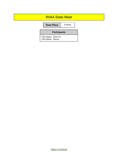### WIAA State Meet

**Team Place** 0 Points

#### **Participants**

>Ted Velicer - Shot Put >Ted Velicer - Discus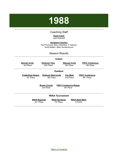## <span id="page-29-0"></span>**1988**

#### Coaching Staff

**Head Coach** Jack Drankoff

**Assistant Coaches** Pat Prochnow, Barry Valentine, P. Delcore Scott Mallien, Mike VandenAvond

#### Season Results

#### **Indoor**

| Neenah Invite<br>3rd Place                                                     | <b>Oshkosh Titan</b><br>12th Place                                      | <b>Wausau Invite</b><br>5th Place | <b>FRVC Conference</b><br>6th Place |
|--------------------------------------------------------------------------------|-------------------------------------------------------------------------|-----------------------------------|-------------------------------------|
|                                                                                | <b>Outdoor</b>                                                          |                                   |                                     |
| <b>Preble/East Relays</b><br>1st Place                                         | <b>Oshkosh West Invite</b><br>8th Place                                 | <b>City Meet</b><br>2nd Place     | <b>FRVC Conference</b><br>5th Place |
| <b>Brown County</b><br><b>FRVC Conference Relays</b><br>2nd Place<br>4th Place |                                                                         |                                   |                                     |
|                                                                                | <b>WIAA Tournament</b>                                                  |                                   |                                     |
|                                                                                | <b>WIAA Sectional</b><br><b>WIAA Regional</b><br>3rd Place<br>7th Place |                                   | <b>WIAA State Meet</b><br>0 Points  |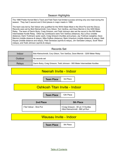#### Season Highlights

The 1988 Preble Hornet Men's Track and Field Team had limited success winning only one meet during the season. They had 2 second and 2 third places in major meets in 1988.

The team was led by Ted Velicer who qualified for the WIAA State Meet in the Shot Put and the Discus. Records were set by Bob Kleinschmidt, Cory Gilson, Tom VanEss, and Dave Merrick in the 3200 Meter Relay. The team of Darrin Butry, Craig Grissom, and Todd Johnson also set the record in the 900 Meter Intermediate Hurdle Relay. Other top contributors were Tom VanEss (distance), Kip LaTour (middle distance), Darin Truttmann (pole vault), Craig Grissom (hurdles and jumps), Jay Truttman (weights), Dave Merrick (middle distance & relays), Mike DuBois (distance), Mark Umentum (middle distance & relays), Matt Keyser (middle distance and relays), Pete Geniesse (sprints & relays), Jim VanDalen (relays), Scott Tebon (relays), and Todd Johnson (sprints & relays)

#### Records Set

| Indoor        | Bob Kleinschmidt, Cory Gilson, Tom VanEss, Dave Merrick - 3200 Meter Relay |
|---------------|----------------------------------------------------------------------------|
| Outdoor       | No records set                                                             |
| <b>Relays</b> | Darrin Butry, Craig Grissom, Todd Johnson - 900 Meter Intermediate Hurdles |

## Neenah Invite - Indoor

**Team Place** | 3rd Place

## Oshkosh Titan Invite - Indoor

|                         | <b>Team Place</b> | 12th Place |                                                                     |
|-------------------------|-------------------|------------|---------------------------------------------------------------------|
| 2nd Place               |                   |            | <b>5th Place</b>                                                    |
| >Ted Velicer - Shot Put |                   |            | >Craig Grissom - 60 yd. H Hurdles<br>>Bob Kleinschmidt - 880 yd Run |

#### Wausau Invite - Indoor

**Team Place** | 5th Place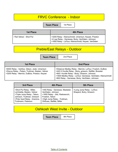#### FRVC Conference - Indoor

**Team Place** | 1st Place

| <b>1st Place</b>        | 4th Place                                                                                                                                                         |
|-------------------------|-------------------------------------------------------------------------------------------------------------------------------------------------------------------|
| >Ted Velicer - Shot Put | >3200 Relay - Kleinschmidt, Umentum, Keyser, Preston<br>>4 Lap Relay - Geniesse, Butry, VanDalen, Johnson<br>>1600 Relay - LaTour, Kleinschmidt, Keyser, VanDalen |

## Preble/East Relays - Outdoor

**Team Place** 2nd Place

| 1st Place                                                                                                                                           | 2nd Place                                                                                                                                                                                                                                                                                  |
|-----------------------------------------------------------------------------------------------------------------------------------------------------|--------------------------------------------------------------------------------------------------------------------------------------------------------------------------------------------------------------------------------------------------------------------------------------------|
| >6400 Relay - VanEss, Gilson, Joski, Umentum<br>>Discus Relay - Peters, Truttman, Basten, Velicer<br>>3200 Relay - Merrick, DuBois, Preston, Keyser | >Distance Medley Relay - Merrick, LaTour, Froelich, DuBois<br>>440 H Hurdle Relay - Butry, grissom, Steffek, Bressler<br>>900 I Hurdle Relay - Butry, Grissom, Johnson<br>>1600 Medley Relay - LaTour, Geniesse, VanDalen, Kleinschmidt<br>>800 Relay - Geniesse, Butry, VanDalen, Johnson |

| 3rd Place                                                                                                                                                                    | <b>4th Place</b>                                                                                                                                                          | <b>5th Place</b>                                      |
|------------------------------------------------------------------------------------------------------------------------------------------------------------------------------|---------------------------------------------------------------------------------------------------------------------------------------------------------------------------|-------------------------------------------------------|
| >Shot Put Relay - Miller,<br>LaViolette, Basten, Velicer<br>>Triple Jump Relay - Tebon,<br>Johnson, Truttman, Grissom<br>>Pole Vault Relay - Gramins,<br>Truttmann, Peterson | >400 Relay - Geniesse, Mastalair,<br>VanDalen, Johnson<br>>1600 Relay - Jilot, Radosevich,<br>Froelich, Tebon<br>>High Jump Relay - Truttman,<br>Ohlhues, Steffek, Miller | >Long Jump Relay - LaTour,<br>Shepard, Butry, Grissom |

### Oshkosh West Invite - Outdoor

**Team Place** | 8th Place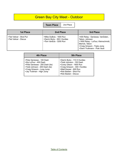## Green Bay City Meet - Outdoor

**Team Place** 2nd Place

| <b>1st Place</b>                                 | 2nd Place                                                                          | 3rd Place                                                                                                                                                                    |
|--------------------------------------------------|------------------------------------------------------------------------------------|------------------------------------------------------------------------------------------------------------------------------------------------------------------------------|
| >Ted Velicer - Shot Put<br>>Ted Velicer - Discus | >Mike DuBois - 1600 Run<br>>Darrin Butry - 300 I Hurdles<br>>Tom VanEss - 3200 Run | >400 Relay - Geniesse, VanDalen,<br>Tebon, Johnson<br>>1600 Relay - LaTour, Kleinschmidt,<br>Merrick, Tebon<br>>Craig Grissom - Triple Jump<br>>Darin Truttmann - Pole Vault |

| 4th Place                                                                                                                                                                           | <b>5th Place</b>                                                                                                                                                                                    |
|-------------------------------------------------------------------------------------------------------------------------------------------------------------------------------------|-----------------------------------------------------------------------------------------------------------------------------------------------------------------------------------------------------|
| >Pete Geniesse - 100 Dash<br>>Kip LaTour - 400 Dash<br>>Pete Geniesse - 200 Dash (tie)<br>>Todd Johnson - 200 Dash (tie)<br>>Craig Grissom - Long Jump<br>>Jay Truttman - High Jump | >Darrin Butry - 110 H Hurdles<br>>Todd Johnson - 100 Dash<br>>Corey Gilson - 1600 Run<br>>Craig Grissom - 300 I Hurdles<br>>Matt Keyser - 800 Run<br>>Rob Basten - Shot Put<br>>Rob Basten - Discus |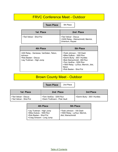## FRVC Conference Meet - Outdoor

**Team Place** 5th Place

| <b>1st Place</b>          | 2nd Place                                                                        |
|---------------------------|----------------------------------------------------------------------------------|
| l >Ted Velicer - Shot Put | >Ted Velicer - Discus<br>>3200 Relay - Kleinschmidt, Merrick,<br>Umentum, Keyser |

| 4th Place                                                                                               | <b>5th Place</b>                                                                                                                                                                                                          |
|---------------------------------------------------------------------------------------------------------|---------------------------------------------------------------------------------------------------------------------------------------------------------------------------------------------------------------------------|
| >400 Relay - Geniesse, VanDalen, Tebon,<br>Johnson<br>>Rob Basten - Discus<br>>Jay Truttman - High Jump | >Todd Johnson - 100 Dash<br>>Mike DuBois - 1600 Run<br>>Darrin Burty - 300 I Hurdles<br>>Bob Kleinschmidt - 800 Run<br>>Tom VanEss - 3200 Run<br>>1600 Relay - LaTour, Merrich, Jilot,<br>Tebon<br>>Rob Basten - Shot Put |

## Brown County Meet - Outdoor

**Team Place** | 2nd Place

| 1st Place                                        | 2nd Place                                               | 3rd Place                     |
|--------------------------------------------------|---------------------------------------------------------|-------------------------------|
| >Ted Velicer - Discus<br>>Ted Velicer - Shot Put | >Tom VanEss - 3200 Run<br>>Darin Truttmann - Pole Vault | >Darrin Butry - 300 I Hurdles |

| 4th Place                                                                                                    | <b>5th Place</b>                                                                  |
|--------------------------------------------------------------------------------------------------------------|-----------------------------------------------------------------------------------|
| >Jay Truttman - High Jump<br>>Mike Dubois - 1600 Run<br>>Rob Basten - Shot Put<br>>Craig Grissom - Long Jump | >Todd Johnson - 100 Dash<br>>1600 Relay - LaTour, Merrick,<br>Jilot, Kleinschmidt |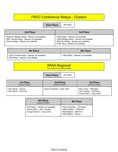## FRVC Conference Relays - Outdoor

**Team Place** 4th Place

| 2nd Place                                                                                                                        | 3rd Place                                                                                                                                                   |
|----------------------------------------------------------------------------------------------------------------------------------|-------------------------------------------------------------------------------------------------------------------------------------------------------------|
| >Distance Medley Relay - Names not available<br>>900 I Hurdle Relay - Names not available<br>>Discus Relay - Names not available | >6400 Relay - Names not available<br>>1600 Medley Relay - Names not available<br>>Shot Put Relay - Names not available<br>>Pole Vault - Names not available |

| 4th Place                                                                      | <b>5th Place</b>                   |
|--------------------------------------------------------------------------------|------------------------------------|
| >330 H Hurdle Relay - Names not available<br>13200 Relay - Names not available | 1>1600 Relay - Names not available |

#### WIAA Regional

Top 4 qualify for the Sectional Meet

**Team Place** | 3rd Place

| <b>1st Place</b>                                     | 2nd Place                     | 3rd Place                                                                     |
|------------------------------------------------------|-------------------------------|-------------------------------------------------------------------------------|
| <b>Sectional Qualifier</b>                           | <b>Sectional Qualifier</b>    | <b>Sectional Qualifier</b>                                                    |
| l >Ted Velicer - Discus<br>l >Ted Velicer - Shot Put | >Darin Truttmann - Pole Vault | >Kip LaTour - 400 Dash<br>>Tom VanEss - 3200 Run<br>>Darrin Butry - Long Jump |

| 4th Place<br><b>Sectional Qualifier</b>                                                         | 5th Place                                                                                              |
|-------------------------------------------------------------------------------------------------|--------------------------------------------------------------------------------------------------------|
| >400 Relay - Names not available<br>>Darrin Butry - 300 I Hurdles<br>>Craig Grissom - Long Jump | >Pete Geniesse - 100 Dash<br>>Mike DuBois - 1600 Run<br>>Rob Basten - Shot Put<br>>Rob Basten - Discus |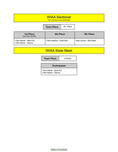| <b>WIAA Sectional</b><br>Top 2 advance to the State Meet |  |  |  |
|----------------------------------------------------------|--|--|--|
| 7th Place<br><b>Team Place</b>                           |  |  |  |

| <b>1st Place</b><br><b>State Meet Qualifier</b>    | 4th Place              | <b>5th Place</b>       |
|----------------------------------------------------|------------------------|------------------------|
| l >Ted Velicer - Shot Put<br>STed Velicer - Discus | >Tom VanEss - 3200 Run | >Kip LaTour - 400 Dash |

## WIAA State Meet

**Team Place** 0 Points

#### **Participants**

>Ted Velicer - Shot Put >Ted Velicer - Discus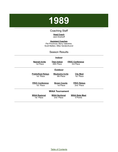<span id="page-36-0"></span>

#### Coaching Staff

#### **Head Coach** Jack Drankoff

**Assistant Coaches** Pat Prochnow, Barry Valentine, Scott Mallien, Mike VandenAvond

#### Season Results

#### **Indoor**

| <b>Neenah Invite</b><br>1st Place      | Titan Indoor<br>26th Place          | <b>FRVC Conference</b><br>3rd Place |  |
|----------------------------------------|-------------------------------------|-------------------------------------|--|
|                                        | <b>Outdoor</b>                      |                                     |  |
| <b>Preble/East Relays</b><br>1st Place | <b>Waukesha Invite</b><br>6th Place | <b>City Meet</b><br>1st Place       |  |
| <b>FRVC Conference</b><br>1st Place    | <b>Brown County</b><br>1st Place    | <b>FRVC Relays</b><br>2nd Place     |  |
|                                        | <b>WIAA Tournament</b>              |                                     |  |
| <b>WIAA Regional</b><br>1st Place      | <b>WIAA Sectional</b><br>2nd Place  | <b>WIAA State Meet</b><br>0 Points  |  |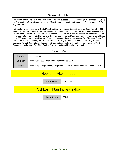#### Season Highlights

The 1989 Preble Boy's Track and Field Team had a very successful season winning 6 major meets including the City Meet, the Brown County Meet, the FRVC Conference Meet, the Conference Relays, and the WIAA Regional Meet.

Individually the team was led by State Meet Qualifiers Roy Radosevich (800 meters), Chad Froelich (1600 meters), Darrin Butry (300 intermediate hurdles), Rob Basten (shot put), and the 1600 meter relay team of Jim VanDalen, Darrin Butry, Troy Jilot, Todd Johnson. Records set during the season included Darrin Butry in the 300 Meter Intermediate Hurdles, and the relay team of Darrin Butry, Craig Grissom, and Greg Ohlhues in the 900 Meter Intermediate Hurdles. Other contributors during the season were Rob Shepherd (Jumps), Tom Katers (sprints & relays), Tony Mastalier (sprints & relays), Todd Johnson (sprints & relays), Mike DuBois (distance), Jay Truttman (high jump), Darin Truttman (pole vault), Jeff Preston (distance), Scott Tebon (middle distance), Ben Clark (sprints & relays), and Scott Bressler (pole vault).

#### Records Set

| Indoor  | No records set                                                                      |
|---------|-------------------------------------------------------------------------------------|
| Outdoor | Darrin Butry - 300 Meter Intermediate Hurdles (39.7)                                |
| Relay   | Darrin Butry, Craig Grissom, Greg Ohlhues - 900 Meter Intermediate Hurdles (2:06.4) |

#### Neenah Invite - Indoor

**Team Place** | 1st Place

#### Oshkosh Titan Invite - Indoor

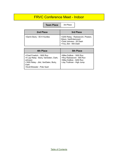### FRVC Conference Meet - Indoor

**Team Place** 3rd Place

| 2nd Place                    | 3rd Place                                                                                                        |
|------------------------------|------------------------------------------------------------------------------------------------------------------|
| >Darrin Butry - 55 H Hurdles | >3200 Relay - Radosevich, Preston,<br>Gilson, VanEnkenvoort<br>>Todd Johnson - 55 Dash<br>>Troy Jilot - 400 Dash |

| 4th Place                                                                                                                                                        | <b>5th Place</b>                                                                                             |
|------------------------------------------------------------------------------------------------------------------------------------------------------------------|--------------------------------------------------------------------------------------------------------------|
| >Chad Froelich - 1600 Run<br>>4 Lap Relay - Butry, VanDalen, Clark,<br>Johnson<br>>1600 Relay - Jilot, VanDalen, Butry,<br>Clark<br>>Scott Bressler - Pole Vault | >Mike DuBois - 1600 Run<br>>Roy Radosevich - 800 Run<br>>Mike DuBois - 3200 Run<br>>Jay Truttman - High Jump |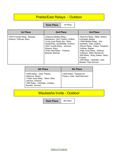## Preble/East Relays - Outdoor

**Team Place** | 1st Place

| <b>1st Place</b>                                           | 2nd Place                                                                                                                                                                                                                                        | 3rd Place                                                                                                                                                                                                                                                                                                                                              |
|------------------------------------------------------------|--------------------------------------------------------------------------------------------------------------------------------------------------------------------------------------------------------------------------------------------------|--------------------------------------------------------------------------------------------------------------------------------------------------------------------------------------------------------------------------------------------------------------------------------------------------------------------------------------------------------|
| >440 H Hurdle Relay - Bressler,<br>Grissom, Ohlhues, Butry | >Distance Medley Relay -<br>Radosevich, Jilot, Froelich, DuBois<br>>Long Jump Relay (tie) - Butry,<br>VandenPlas, VandeWalle, Grissom<br>>900   Hurdle Relay - Johnson,<br>Grissom, Butry<br>>Pole Vault Relay - Truttman,<br>Bressler, Birkholz | >Shot Put Relay - Miller, Gilsoul,<br>LaViolette, Basten<br>>1600 Medley Relay - Jilot,<br>VanDalen, Clark, DuBois<br>>Discus Relay - Peters, Tompkins,<br>Truttman. Basten<br>>High Jump Relay - Ohlhues,<br>Truttmann, Miller, McDermid<br>1600 Relay - Butry, Katers, Tebon,<br>Froelich<br>>400 Relay - VanDalen, clark,<br>Mastalir, Todd Johnson |

| <b>4th Place</b>                                                                                                                                                    | <b>5th Place</b>                                           |
|---------------------------------------------------------------------------------------------------------------------------------------------------------------------|------------------------------------------------------------|
| >6400 Relay - Joski, Preston,<br>Holschuh, Moore<br>>Triple Jump Relay - Tebon, Blink,<br>Johnson, Grissom<br>>800 Relay - VanDalen, Lindsley,<br>Buzaitis, Johnson | >3200 Relay - Radosevich,<br>Preston, Joski, VanEnkenvoort |

## Waukesha Invite - Outdoor

**Team Place** 6th Place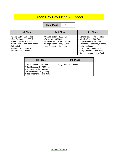## Green Bay City Meet - Outdoor

**Team Place** | 1st Place

| 1st Place                                                                                                                                                                                  | 2nd Place                                                                                                                                        | 3rd Place                                                                                                                                                                                                                                  |
|--------------------------------------------------------------------------------------------------------------------------------------------------------------------------------------------|--------------------------------------------------------------------------------------------------------------------------------------------------|--------------------------------------------------------------------------------------------------------------------------------------------------------------------------------------------------------------------------------------------|
| >Darrin Butry - 300 I Hurdles<br>>Roy Radosevich - 800 Run<br>>Mike DuBois - 3200 Run<br>>1600 Relay - VanDalen, Katers,<br>Butry, Jilot<br>>Rob Basten - Shot Put<br>>Rob Basten - Discus | >Chad Froelich - 1600 Run<br>>Troy Jilot - 400 Dash<br>>Craig Grissom - 300 I Hurdles<br>>Craig Grissom - Long Jump<br>>Jay Truttman - High Jump | >Darrin Butry - 110 H Hurdles<br>>Mike DuBois - 1600 Run<br>>Jim VanDalen - 400 Dash<br>>400 Relay - VanDalen, Buzaitis,<br>Mastalir, Johnson<br>>Chad Froelich - 800 Run<br>>Craig Grissom - Triple Jump<br>>Darin Truttmann - Pole Vault |

| 4th Place                                                                                                                                       | <b>5th Place</b>       |
|-------------------------------------------------------------------------------------------------------------------------------------------------|------------------------|
| >Todd Johnson - 100 Dash<br>>Roy Radosevich - 1600 Run<br>>Rob Shephard - Long Jump<br>>Greg Ohlhues - High Jump<br>>Rob Shephard - Triple Jump | >Jay Truttman - Discus |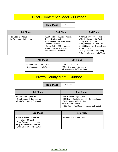#### FRVC Conference Meet - Outdoor

**Team Place** | 1st Place

| <b>1st Place</b>                                  | 2nd Place                                                                                                                                                                                         | 3rd Place                                                                                                                                                                                                                              |
|---------------------------------------------------|---------------------------------------------------------------------------------------------------------------------------------------------------------------------------------------------------|----------------------------------------------------------------------------------------------------------------------------------------------------------------------------------------------------------------------------------------|
| >Rob Basten - Discus<br>>Jay Truttman - High Jump | >3200 Relay - DuBois, Preston,<br>Tebon, Radosevich<br>>400 Relay - VanDalen, Katers,<br>Buzaitis, Mastalir<br>>Darrin Butry - 300 I Hurdles<br>>Mike DuBois - 3200 Run<br>>Rob Basten - Shot Put | >Darrin Butry - 110 H Hurdles<br>>Todd Johnson - 100 Dash<br>>Troy Jilot - 400 Dash<br>>Roy Radosevich - 800 Run<br>>1600 Relay - VanDalen, Butry,<br>Froelich, Jilot<br>>Craig Grissom - Triple Jump<br>>Darin Truttmann - Pole Vault |

| 4th Place                    | <b>5th Place</b>                                         |
|------------------------------|----------------------------------------------------------|
| >Chad Froelich - 1600 Run    | >Jim VanDalen - 200 Dash                                 |
| >Scott Bressler - Pole Vault | >Greg Ohlhues - High Jump<br>>Rob Shepherd - Triple Jump |

## Brown County Meet - Outdoor

**Team Place** | 1st Place

| <b>1st Place</b>                                                                     | 2nd Place                                                                                                                                                                              |
|--------------------------------------------------------------------------------------|----------------------------------------------------------------------------------------------------------------------------------------------------------------------------------------|
| >Rob Basten - Shot Put<br>>Rob Shepherd - Long Jump<br>>Darin Truttmann - Pole Vault | >Jay Truttman - High Jump<br>>400 Relay - Buziutis, Mastalir, Kater, Johnson<br>>Darrin Butry - 300 I Hurdles<br>>Rob Basten - Discus<br>>1600 Relay - VanDalen, Johnson, Butry, Jilot |

| 3rd Place                                                                                                                                      | <b>5th Place</b>         |
|------------------------------------------------------------------------------------------------------------------------------------------------|--------------------------|
| >Chad Froelich - 1600 Run<br>>Troy Jilot - 400 Dash<br>>Craig Grissom - Long Jump<br>>Roy Radosevich - 800 Run<br>>Craig Grissom - Triple Jump | >Jim VanDalen - 400 Dash |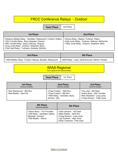## FRCC Conference Relays - Outdoor

**Team Place** 2nd Place

| <b>1st Place</b>                                                                                                                                                                                                                                                       | 2nd Place                                                                                                                                   |
|------------------------------------------------------------------------------------------------------------------------------------------------------------------------------------------------------------------------------------------------------------------------|---------------------------------------------------------------------------------------------------------------------------------------------|
| >Distance Medley Relay - VanDalen, Radosevich, Froelich, DuBois<br>>330 H Hurdle Relay - Butry, Bressler, Grissom<br>>900 I Hurdle Relay - Butry, Ohlhues, Grissom<br>>Long Jump Relay - Grissom, Shepherd, Butry<br>>Pole Vault Relay - Truttmann, Bressler, Birkholz | >Discus Relay - Basten, Truttman, Peters<br>>High Jump Relay - Truttman, Ohlhues, McDermid<br>>Triple Jump Relay - Grissom, Shepherd, Blink |

| 3rd Place                                                   | <b>5th Place</b>                                      |
|-------------------------------------------------------------|-------------------------------------------------------|
| >1600 Medley Relay - Froelich, Massey, Buzaitis, Radosevich | ' >6400 Relay - Joski, VanEnkenvoort, Marchi, Preston |

| <b>WIAA Regional</b><br><b>Top 4 qualify for the Sectional Meet</b> |  |
|---------------------------------------------------------------------|--|
|                                                                     |  |

**Team Place** | 1st Place

| <b>1st Place</b>                                    | 2nd Place                                                                                                 | 3rd Place                                                                                                            |
|-----------------------------------------------------|-----------------------------------------------------------------------------------------------------------|----------------------------------------------------------------------------------------------------------------------|
| <b>Sectional Qualifier</b>                          | <b>Sectional Qualifier</b>                                                                                | <b>Sectional Qualifier</b>                                                                                           |
| >Roy Radosevich - 800 Run<br>>Rob Basten - Shot Put | >Chad Froelich - 1600 Run<br>>Chad Froelich - 800 Run<br>>1600 Relay - VanDalen, Butry,<br>Johnson, Jilot | >Troy Jilot - 400 Dash<br>>Darrin Butry - 300 I Hurdles<br>>Rob Shepherd - Long Jump<br>>Craig Grissom - Triple Jump |

| 4th Place<br><b>Sectional Qualifier</b>                                                                       | <b>5th Place</b>                                                                                                                                |
|---------------------------------------------------------------------------------------------------------------|-------------------------------------------------------------------------------------------------------------------------------------------------|
| >Darrin Butry - 110 H Hurdles<br>>400 Relay - VanDalen, Katers,<br>Mastalier, Johnson<br>>Rob Basten - Discus | >Todd Johnson - 100 Dash<br>>Mike DuBois - 3200 Run<br>>Craig Grissom - Long Jump<br>>Jay Truttman - High Jump<br>>Darin Truttmann - Pole Vault |